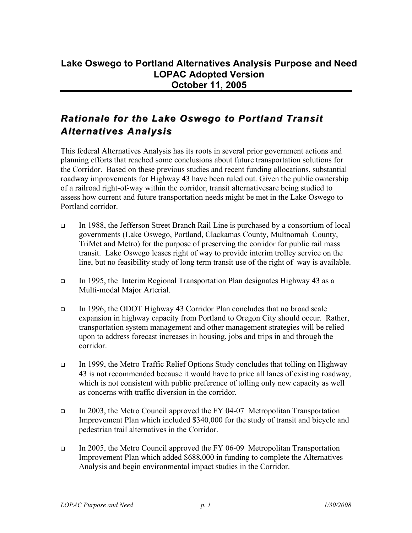## *Rationale for the Lake Oswego to Portland Transit Alternatives Analysis*

This federal Alternatives Analysis has its roots in several prior government actions and planning efforts that reached some conclusions about future transportation solutions for the Corridor. Based on these previous studies and recent funding allocations, substantial roadway improvements for Highway 43 have been ruled out. Given the public ownership of a railroad right-of-way within the corridor, transit alternativesare being studied to assess how current and future transportation needs might be met in the Lake Oswego to Portland corridor.

- In 1988, the Jefferson Street Branch Rail Line is purchased by a consortium of local governments (Lake Oswego, Portland, Clackamas County, Multnomah County, TriMet and Metro) for the purpose of preserving the corridor for public rail mass transit. Lake Oswego leases right of way to provide interim trolley service on the line, but no feasibility study of long term transit use of the right of way is available.
- In 1995, the Interim Regional Transportation Plan designates Highway 43 as a Multi-modal Major Arterial.
- In 1996, the ODOT Highway 43 Corridor Plan concludes that no broad scale expansion in highway capacity from Portland to Oregon City should occur. Rather, transportation system management and other management strategies will be relied upon to address forecast increases in housing, jobs and trips in and through the corridor.
- In 1999, the Metro Traffic Relief Options Study concludes that tolling on Highway 43 is not recommended because it would have to price all lanes of existing roadway, which is not consistent with public preference of tolling only new capacity as well as concerns with traffic diversion in the corridor.
- In 2003, the Metro Council approved the FY 04-07 Metropolitan Transportation Improvement Plan which included \$340,000 for the study of transit and bicycle and pedestrian trail alternatives in the Corridor.
- In 2005, the Metro Council approved the FY 06-09 Metropolitan Transportation Improvement Plan which added \$688,000 in funding to complete the Alternatives Analysis and begin environmental impact studies in the Corridor.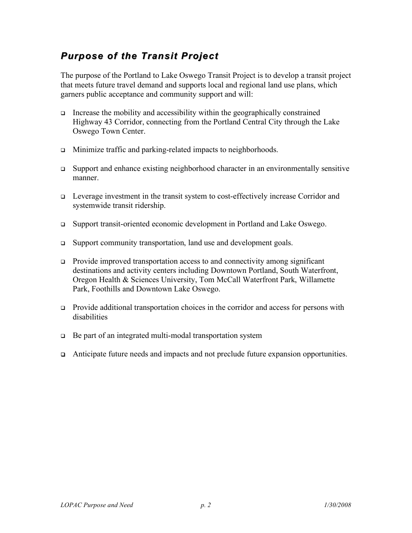## *Purpose of the Transit Project*

The purpose of the Portland to Lake Oswego Transit Project is to develop a transit project that meets future travel demand and supports local and regional land use plans, which garners public acceptance and community support and will:

- Increase the mobility and accessibility within the geographically constrained Highway 43 Corridor, connecting from the Portland Central City through the Lake Oswego Town Center.
- □ Minimize traffic and parking-related impacts to neighborhoods.
- Support and enhance existing neighborhood character in an environmentally sensitive manner.
- Leverage investment in the transit system to cost-effectively increase Corridor and systemwide transit ridership.
- Support transit-oriented economic development in Portland and Lake Oswego.
- Support community transportation, land use and development goals.
- Provide improved transportation access to and connectivity among significant destinations and activity centers including Downtown Portland, South Waterfront, Oregon Health & Sciences University, Tom McCall Waterfront Park, Willamette Park, Foothills and Downtown Lake Oswego.
- Provide additional transportation choices in the corridor and access for persons with disabilities
- $\Box$  Be part of an integrated multi-modal transportation system
- Anticipate future needs and impacts and not preclude future expansion opportunities.